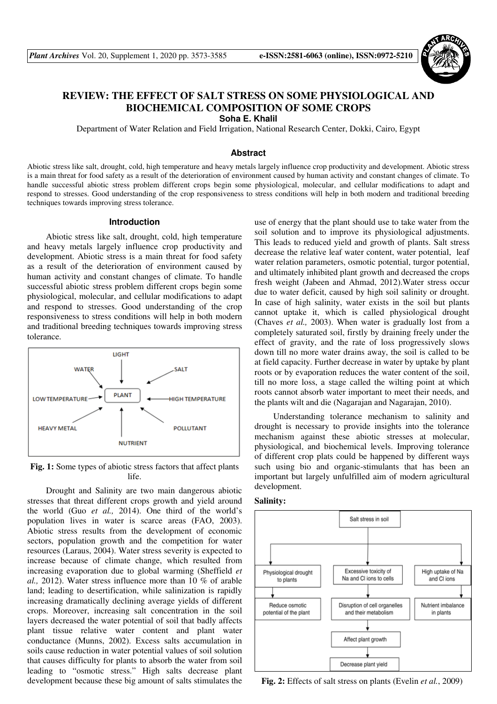

# **REVIEW: THE EFFECT OF SALT STRESS ON SOME PHYSIOLOGICAL AND BIOCHEMICAL COMPOSITION OF SOME CROPS**

**Soha E. Khalil** 

Department of Water Relation and Field Irrigation, National Research Center, Dokki, Cairo, Egypt

# **Abstract**

Abiotic stress like salt, drought, cold, high temperature and heavy metals largely influence crop productivity and development. Abiotic stress is a main threat for food safety as a result of the deterioration of environment caused by human activity and constant changes of climate. To handle successful abiotic stress problem different crops begin some physiological, molecular, and cellular modifications to adapt and respond to stresses. Good understanding of the crop responsiveness to stress conditions will help in both modern and traditional breeding techniques towards improving stress tolerance.

#### **Introduction**

Abiotic stress like salt, drought, cold, high temperature and heavy metals largely influence crop productivity and development. Abiotic stress is a main threat for food safety as a result of the deterioration of environment caused by human activity and constant changes of climate. To handle successful abiotic stress problem different crops begin some physiological, molecular, and cellular modifications to adapt and respond to stresses. Good understanding of the crop responsiveness to stress conditions will help in both modern and traditional breeding techniques towards improving stress tolerance.



**Fig. 1:** Some types of abiotic stress factors that affect plants life.

Drought and Salinity are two main dangerous abiotic stresses that threat different crops growth and yield around the world (Guo *et al.,* 2014). One third of the world's population lives in water is scarce areas (FAO, 2003). Abiotic stress results from the development of economic sectors, population growth and the competition for water resources (Laraus, 2004). Water stress severity is expected to increase because of climate change, which resulted from increasing evaporation due to global warming (Sheffield *et al.,* 2012). Water stress influence more than 10 % of arable land; leading to desertification, while salinization is rapidly increasing dramatically declining average yields of different crops. Moreover, increasing salt concentration in the soil layers decreased the water potential of soil that badly affects plant tissue relative water content and plant water conductance (Munns, 2002). Excess salts accumulation in soils cause reduction in water potential values of soil solution that causes difficulty for plants to absorb the water from soil leading to "osmotic stress." High salts decrease plant development because these big amount of salts stimulates the

use of energy that the plant should use to take water from the soil solution and to improve its physiological adjustments. This leads to reduced yield and growth of plants. Salt stress decrease the relative leaf water content, water potential, leaf water relation parameters, osmotic potential, turgor potential, and ultimately inhibited plant growth and decreased the crops fresh weight (Jabeen and Ahmad, 2012).Water stress occur due to water deficit, caused by high soil salinity or drought. In case of high salinity, water exists in the soil but plants cannot uptake it, which is called physiological drought (Chaves *et al.,* 2003). When water is gradually lost from a completely saturated soil, firstly by draining freely under the effect of gravity, and the rate of loss progressively slows down till no more water drains away, the soil is called to be at field capacity. Further decrease in water by uptake by plant roots or by evaporation reduces the water content of the soil, till no more loss, a stage called the wilting point at which roots cannot absorb water important to meet their needs, and the plants wilt and die (Nagarajan and Nagarajan, 2010).

Understanding tolerance mechanism to salinity and drought is necessary to provide insights into the tolerance mechanism against these abiotic stresses at molecular, physiological, and biochemical levels. Improving tolerance of different crop plats could be happened by different ways such using bio and organic-stimulants that has been an important but largely unfulfilled aim of modern agricultural development.





**Fig. 2:** Effects of salt stress on plants (Evelin *et al.*, 2009)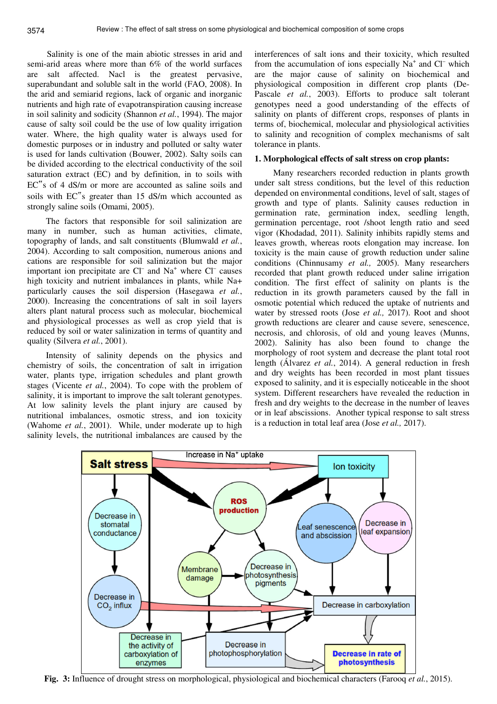Salinity is one of the main abiotic stresses in arid and semi-arid areas where more than 6% of the world surfaces are salt affected. Nacl is the greatest pervasive, superabundant and soluble salt in the world (FAO, 2008). In the arid and semiarid regions, lack of organic and inorganic nutrients and high rate of evapotranspiration causing increase in soil salinity and sodicity (Shannon *et al.*, 1994). The major cause of salty soil could be the use of low quality irrigation water. Where, the high quality water is always used for domestic purposes or in industry and polluted or salty water is used for lands cultivation (Bouwer, 2002). Salty soils can be divided according to the electrical conductivity of the soil saturation extract (EC) and by definition, in to soils with EC"s of 4 dS/m or more are accounted as saline soils and soils with EC"s greater than 15 dS/m which accounted as strongly saline soils (Omami, 2005).

The factors that responsible for soil salinization are many in number, such as human activities, climate, topography of lands, and salt constituents (Blumwald *et al.*, 2004). According to salt composition, numerous anions and cations are responsible for soil salinization but the major important ion precipitate are  $CI^-$  and  $Na^+$  where  $CI^-$  causes high toxicity and nutrient imbalances in plants, while Na+ particularly causes the soil dispersion (Hasegawa *et al.*, 2000). Increasing the concentrations of salt in soil layers alters plant natural process such as molecular, biochemical and physiological processes as well as crop yield that is reduced by soil or water salinization in terms of quantity and quality (Silvera *et al.*, 2001).

Intensity of salinity depends on the physics and chemistry of soils, the concentration of salt in irrigation water, plants type, irrigation schedules and plant growth stages (Vicente *et al.*, 2004). To cope with the problem of salinity, it is important to improve the salt tolerant genotypes. At low salinity levels the plant injury are caused by nutritional imbalances, osmotic stress, and ion toxicity (Wahome *et al.*, 2001). While, under moderate up to high salinity levels, the nutritional imbalances are caused by the

interferences of salt ions and their toxicity, which resulted from the accumulation of ions especially  $Na^+$  and  $Cl^-$  which are the major cause of salinity on biochemical and physiological composition in different crop plants (De-Pascale *et al.*, 2003). Efforts to produce salt tolerant genotypes need a good understanding of the effects of salinity on plants of different crops, responses of plants in terms of, biochemical, molecular and physiological activities to salinity and recognition of complex mechanisms of salt tolerance in plants.

## **1. Morphological effects of salt stress on crop plants:**

Many researchers recorded reduction in plants growth under salt stress conditions, but the level of this reduction depended on environmental conditions, level of salt, stages of growth and type of plants. Salinity causes reduction in germination rate, germination index, seedling length, germination percentage, root /shoot length ratio and seed vigor (Khodadad, 2011). Salinity inhibits rapidly stems and leaves growth, whereas roots elongation may increase. Ion toxicity is the main cause of growth reduction under saline conditions (Chinnusamy *et al.,* 2005). Many researchers recorded that plant growth reduced under saline irrigation condition. The first effect of salinity on plants is the reduction in its growth parameters caused by the fall in osmotic potential which reduced the uptake of nutrients and water by stressed roots (Jose *et al.,* 2017). Root and shoot growth reductions are clearer and cause severe, senescence, necrosis, and chlorosis, of old and young leaves (Munns, 2002). Salinity has also been found to change the morphology of root system and decrease the plant total root length (Álvarez *et al.*, 2014). A general reduction in fresh and dry weights has been recorded in most plant tissues exposed to salinity, and it is especially noticeable in the shoot system. Different researchers have revealed the reduction in fresh and dry weights to the decrease in the number of leaves or in leaf abscissions. Another typical response to salt stress is a reduction in total leaf area (Jose *et al.,* 2017).



**Fig. 3:** Influence of drought stress on morphological, physiological and biochemical characters (Farooq *et al.*, 2015).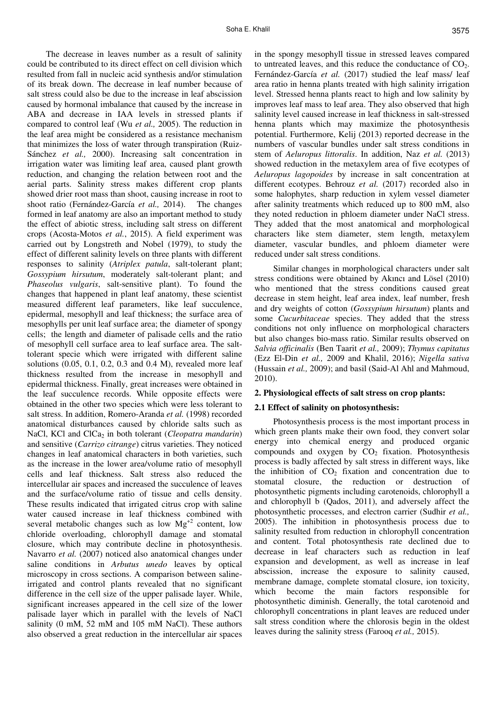The decrease in leaves number as a result of salinity could be contributed to its direct effect on cell division which resulted from fall in nucleic acid synthesis and/or stimulation of its break down. The decrease in leaf number because of salt stress could also be due to the increase in leaf abscission caused by hormonal imbalance that caused by the increase in ABA and decrease in IAA levels in stressed plants if compared to control leaf (Wu *et al.,* 2005). The reduction in the leaf area might be considered as a resistance mechanism that minimizes the loss of water through transpiration (Ruiz-Sánchez *et al.,* 2000). Increasing salt concentration in irrigation water was limiting leaf area, caused plant growth reduction, and changing the relation between root and the aerial parts. Salinity stress makes different crop plants showed drier root mass than shoot, causing increase in root to shoot ratio (Fernández-García *et al.,* 2014). The changes formed in leaf anatomy are also an important method to study the effect of abiotic stress, including salt stress on different crops (Acosta-Motos *et al.*, 2015). A field experiment was carried out by Longstreth and Nobel (1979), to study the effect of different salinity levels on three plants with different responses to salinity (*Atriplex patula*, salt-tolerant plant; *Gossypium hirsutum*, moderately salt-tolerant plant; and *Phaseolus vulgaris*, salt-sensitive plant). To found the changes that happened in plant leaf anatomy, these scientist measured different leaf parameters, like leaf succulence, epidermal, mesophyll and leaf thickness; the surface area of mesophylls per unit leaf surface area; the diameter of spongy cells; the length and diameter of palisade cells and the ratio of mesophyll cell surface area to leaf surface area. The salttolerant specie which were irrigated with different saline solutions (0.05, 0.1, 0.2, 0.3 and 0.4 M), revealed more leaf thickness resulted from the increase in mesophyll and epidermal thickness. Finally, great increases were obtained in the leaf succulence records. While opposite effects were obtained in the other two species which were less tolerant to salt stress. In addition, Romero-Aranda *et al.* (1998) recorded anatomical disturbances caused by chloride salts such as NaCl, KCl and ClCa<sub>2</sub> in both tolerant (*Cleopatra mandarin*) and sensitive (*Carrizo citrange*) citrus varieties. They noticed changes in leaf anatomical characters in both varieties, such as the increase in the lower area/volume ratio of mesophyll cells and leaf thickness. Salt stress also reduced the intercellular air spaces and increased the succulence of leaves and the surface/volume ratio of tissue and cells density. These results indicated that irrigated citrus crop with saline water caused increase in leaf thickness combined with several metabolic changes such as low  $Mg^{+2}$  content, low chloride overloading, chlorophyll damage and stomatal closure, which may contribute decline in photosynthesis. Navarro *et al.* (2007) noticed also anatomical changes under saline conditions in *Arbutus unedo* leaves by optical microscopy in cross sections. A comparison between salineirrigated and control plants revealed that no significant difference in the cell size of the upper palisade layer. While, significant increases appeared in the cell size of the lower palisade layer which in parallel with the levels of NaCl salinity (0 mM, 52 mM and 105 mM NaCl). These authors also observed a great reduction in the intercellular air spaces

in the spongy mesophyll tissue in stressed leaves compared to untreated leaves, and this reduce the conductance of  $CO<sub>2</sub>$ . Fernández-García *et al.* (2017) studied the leaf mass/ leaf area ratio in henna plants treated with high salinity irrigation level. Stressed henna plants react to high and low salinity by improves leaf mass to leaf area. They also observed that high salinity level caused increase in leaf thickness in salt-stressed henna plants which may maximize the photosynthesis potential. Furthermore, Kelij (2013) reported decrease in the numbers of vascular bundles under salt stress conditions in stem of *Aeluropus littoralis*. In addition, Naz *et al.* (2013) showed reduction in the metaxylem area of five ecotypes of *Aeluropus lagopoides* by increase in salt concentration at different ecotypes. Behrouz *et al.* (2017) recorded also in some halophytes, sharp reduction in xylem vessel diameter after salinity treatments which reduced up to 800 mM, also they noted reduction in phloem diameter under NaCl stress. They added that the most anatomical and morphological characters like stem diameter, stem length, metaxylem diameter, vascular bundles, and phloem diameter were reduced under salt stress conditions.

Similar changes in morphological characters under salt stress conditions were obtained by Akıncı and Lösel (2010) who mentioned that the stress conditions caused great decrease in stem height, leaf area index, leaf number, fresh and dry weights of cotton (*Gossypium hirsutum*) plants and some *Cucurbitaceae* species. They added that the stress conditions not only influence on morphological characters but also changes bio-mass ratio. Similar results observed on *Salvia officinalis* (Ben Taarit *et al.,* 2009); *Thymus capitatus* (Ezz El-Din *et al.,* 2009 and Khalil, 2016); *Nigella sativa*  (Hussain *et al.,* 2009); and basil (Said-Al Ahl and Mahmoud, 2010).

# **2. Physiological effects of salt stress on crop plants:**

## **2.1 Effect of salinity on photosynthesis:**

Photosynthesis process is the most important process in which green plants make their own food, they convert solar energy into chemical energy and produced organic compounds and oxygen by  $CO<sub>2</sub>$  fixation. Photosynthesis process is badly affected by salt stress in different ways, like the inhibition of  $CO<sub>2</sub>$  fixation and concentration due to stomatal closure, the reduction or destruction of photosynthetic pigments including carotenoids, chlorophyll a and chlorophyll b (Qados, 2011), and adversely affect the photosynthetic processes, and electron carrier (Sudhir *et al.,* 2005). The inhibition in photosynthesis process due to salinity resulted from reduction in chlorophyll concentration and content. Total photosynthesis rate declined due to decrease in leaf characters such as reduction in leaf expansion and development, as well as increase in leaf abscission, increase the exposure to salinity caused, membrane damage, complete stomatal closure, ion toxicity, which become the main factors responsible for photosynthetic diminish. Generally, the total carotenoid and chlorophyll concentrations in plant leaves are reduced under salt stress condition where the chlorosis begin in the oldest leaves during the salinity stress (Farooq *et al.,* 2015).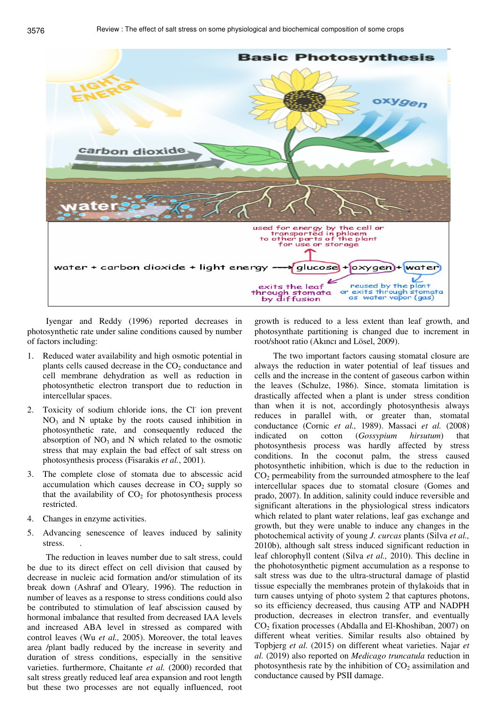

Iyengar and Reddy (1996) reported decreases in photosynthetic rate under saline conditions caused by number of factors including:

- 1. Reduced water availability and high osmotic potential in plants cells caused decrease in the  $CO<sub>2</sub>$  conductance and cell membrane dehydration as well as reduction in photosynthetic electron transport due to reduction in intercellular spaces.
- 2. Toxicity of sodium chloride ions, the Cl ion prevent  $NO<sub>3</sub>$  and N uptake by the roots caused inhibition in photosynthetic rate, and consequently reduced the absorption of  $NO<sub>3</sub>$  and N which related to the osmotic stress that may explain the bad effect of salt stress on photosynthesis process (Fisarakis *et al.*, 2001).
- 3. The complete close of stomata due to abscessic acid accumulation which causes decrease in  $CO<sub>2</sub>$  supply so that the availability of  $CO<sub>2</sub>$  for photosynthesis process restricted.
- 4. Changes in enzyme activities.
- 5. Advancing senescence of leaves induced by salinity stress.

The reduction in leaves number due to salt stress, could be due to its direct effect on cell division that caused by decrease in nucleic acid formation and/or stimulation of its break down (Ashraf and O'leary*,* 1996). The reduction in number of leaves as a response to stress conditions could also be contributed to stimulation of leaf abscission caused by hormonal imbalance that resulted from decreased IAA levels and increased ABA level in stressed as compared with control leaves (Wu *et al.,* 2005). Moreover, the total leaves area /plant badly reduced by the increase in severity and duration of stress conditions, especially in the sensitive varieties. furthermore, Chaitante *et al.* (2000) recorded that salt stress greatly reduced leaf area expansion and root length but these two processes are not equally influenced, root

growth is reduced to a less extent than leaf growth, and photosynthate partitioning is changed due to increment in root/shoot ratio (Akıncı and Lösel, 2009).

The two important factors causing stomatal closure are always the reduction in water potential of leaf tissues and cells and the increase in the content of gaseous carbon within the leaves (Schulze, 1986). Since, stomata limitation is drastically affected when a plant is under stress condition than when it is not, accordingly photosynthesis always reduces in parallel with, or greater than, stomatal conductance (Cornic *et al.,* 1989). Massaci *et al.* (2008) indicated on cotton (*Gossypium hirsutum*) that photosynthesis process was hardly affected by stress conditions. In the coconut palm, the stress caused photosynthetic inhibition, which is due to the reduction in  $CO<sub>2</sub>$  permeability from the surrounded atmosphere to the leaf intercellular spaces due to stomatal closure (Gomes and prado, 2007). In addition, salinity could induce reversible and significant alterations in the physiological stress indicators which related to plant water relations, leaf gas exchange and growth, but they were unable to induce any changes in the photochemical activity of young *J. curcas* plants (Silva *et al.,* 2010b), although salt stress induced significant reduction in leaf chlorophyll content (Silva *et al.,* 2010). This decline in the phohotosynthetic pigment accumulation as a response to salt stress was due to the ultra-structural damage of plastid tissue especially the membranes protein of thylakoids that in turn causes untying of photo system 2 that captures photons, so its efficiency decreased, thus causing ATP and NADPH production, decreases in electron transfer, and eventually CO2 fixation processes (Abdalla and El-Khoshiban, 2007) on different wheat verities. Similar results also obtained by Topbjerg *et al.* (2015) on different wheat varieties. Najar *et al.* (2019) also reported on *Medicago truncatula* reduction in photosynthesis rate by the inhibition of  $CO<sub>2</sub>$  assimilation and conductance caused by PSII damage.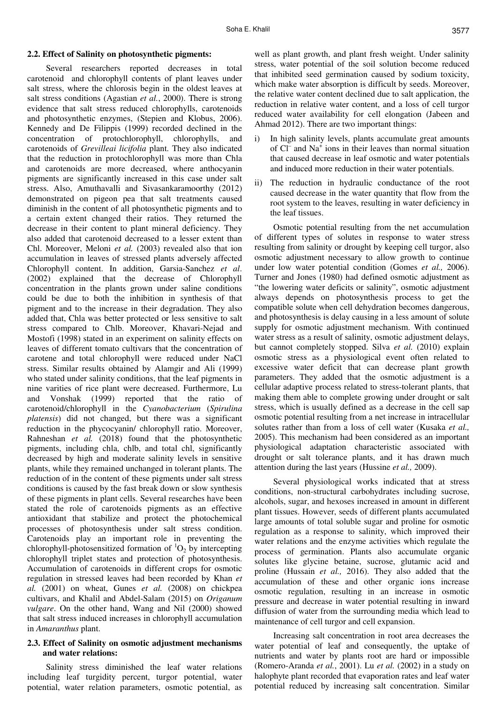## **2.2. Effect of Salinity on photosynthetic pigments:**

Several researchers reported decreases in total carotenoid and chlorophyll contents of plant leaves under salt stress, where the chlorosis begin in the oldest leaves at salt stress conditions (Agastian *et al.*, 2000). There is strong evidence that salt stress reduced chlorophylls, carotenoids and photosynthetic enzymes, (Stepien and Klobus, 2006). Kennedy and De Filippis (1999) recorded declined in the concentration of protochlorophyll, chlorophylls, and carotenoids of *Grevilleai licifolia* plant. They also indicated that the reduction in protochlorophyll was more than Chla and carotenoids are more decreased, where anthocyanin pigments are significantly increased in this case under salt stress. Also, Amuthavalli and Sivasankaramoorthy (2012) demonstrated on pigeon pea that salt treatments caused diminish in the content of all photosynthetic pigments and to a certain extent changed their ratios. They returned the decrease in their content to plant mineral deficiency. They also added that carotenoid decreased to a lesser extent than Chl. Moreover, Meloni *et al.* (2003) revealed also that ion accumulation in leaves of stressed plants adversely affected Chlorophyll content. In addition, Garsia-Sanchez *et al*. (2002) explained that the decrease of Chlorophyll concentration in the plants grown under saline conditions could be due to both the inhibition in synthesis of that pigment and to the increase in their degradation. They also added that, Chla was better protected or less sensitive to salt stress compared to Chlb. Moreover, Khavari-Nejad and Mostofi (1998) stated in an experiment on salinity effects on leaves of different tomato cultivars that the concentration of carotene and total chlorophyll were reduced under NaCl stress. Similar results obtained by Alamgir and Ali (1999) who stated under salinity conditions, that the leaf pigments in nine varities of rice plant were decreased. Furthermore, Lu and Vonshak (1999) reported that the ratio of carotenoid/chlorophyll in the *Cyanobacterium* (*Spirulina platensis*) did not changed, but there was a significant reduction in the phycocyanin/ chlorophyll ratio. Moreover, Rahneshan *et al.* (2018) found that the photosynthetic pigments, including chla, chlb, and total chl, significantly decreased by high and moderate salinity levels in sensitive plants, while they remained unchanged in tolerant plants. The reduction of in the content of these pigments under salt stress conditions is caused by the fast break down or slow synthesis of these pigments in plant cells. Several researches have been stated the role of carotenoids pigments as an effective antioxidant that stabilize and protect the photochemical processes of photosynthesis under salt stress condition. Carotenoids play an important role in preventing the chlorophyll-photosensitized formation of  ${}^{1}O_{2}$  by intercepting chlorophyll triplet states and protection of photosynthesis. Accumulation of carotenoids in different crops for osmotic regulation in stressed leaves had been recorded by Khan *et al.* (2001) on wheat, Gunes *et al.* (2008) on chickpea cultivars, and Khalil and Abdel-Salam (2015) on *Origanum vulgare*. On the other hand, Wang and Nil (2000) showed that salt stress induced increases in chlorophyll accumulation in *Amaranthus* plant.

# **2.3. Effect of Salinity on osmotic adjustment mechanisms and water relations:**

Salinity stress diminished the leaf water relations including leaf turgidity percent, turgor potential, water potential, water relation parameters, osmotic potential, as

well as plant growth, and plant fresh weight. Under salinity stress, water potential of the soil solution become reduced that inhibited seed germination caused by sodium toxicity, which make water absorption is difficult by seeds. Moreover, the relative water content declined due to salt application, the reduction in relative water content, and a loss of cell turgor reduced water availability for cell elongation (Jabeen and Ahmad 2012). There are two important things:

- i) In high salinity levels, plants accumulate great amounts of Cl– and Na<sup>+</sup> ions in their leaves than normal situation that caused decrease in leaf osmotic and water potentials and induced more reduction in their water potentials.
- ii) The reduction in hydraulic conductance of the root caused decrease in the water quantity that flow from the root system to the leaves, resulting in water deficiency in the leaf tissues.

Osmotic potential resulting from the net accumulation of different types of solutes in response to water stress resulting from salinity or drought by keeping cell turgor, also osmotic adjustment necessary to allow growth to continue under low water potential condition (Gomes *et al.,* 2006). Turner and Jones (1980) had defined osmotic adjustment as "the lowering water deficits or salinity", osmotic adjustment always depends on photosynthesis process to get the compatible solute when cell dehydration becomes dangerous, and photosynthesis is delay causing in a less amount of solute supply for osmotic adjustment mechanism. With continued water stress as a result of salinity, osmotic adjustment delays, but cannot completely stopped. Silva *et al.* (2010) explain osmotic stress as a physiological event often related to excessive water deficit that can decrease plant growth parameters. They added that the osmotic adjustment is a cellular adaptive process related to stress-tolerant plants, that making them able to complete growing under drought or salt stress, which is usually defined as a decrease in the cell sap osmotic potential resulting from a net increase in intracellular solutes rather than from a loss of cell water (Kusaka *et al.,* 2005). This mechanism had been considered as an important physiological adaptation characteristic associated with drought or salt tolerance plants, and it has drawn much attention during the last years (Hussine *et al.,* 2009).

Several physiological works indicated that at stress conditions, non-structural carbohydrates including sucrose, alcohols, sugar, and hexoses increased in amount in different plant tissues. However, seeds of different plants accumulated large amounts of total soluble sugar and proline for osmotic regulation as a response to salinity, which improved their water relations and the enzyme activities which regulate the process of germination. Plants also accumulate organic solutes like glycine betaine, sucrose, glutamic acid and proline (Hussain *et al.,* 2016). They also added that the accumulation of these and other organic ions increase osmotic regulation, resulting in an increase in osmotic pressure and decrease in water potential resulting in inward diffusion of water from the surrounding media which lead to maintenance of cell turgor and cell expansion.

Increasing salt concentration in root area decreases the water potential of leaf and consequently, the uptake of nutrients and water by plants root are hard or impossible (Romero-Aranda *et al.*, 2001). Lu *et al.* (2002) in a study on halophyte plant recorded that evaporation rates and leaf water potential reduced by increasing salt concentration. Similar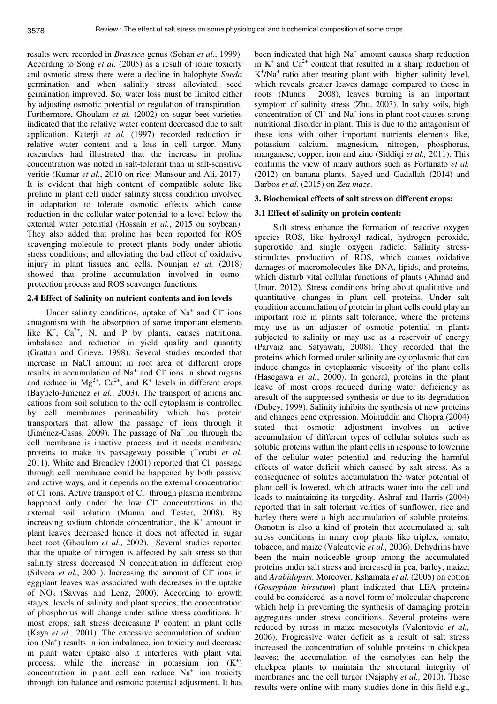results were recorded in *Brassica* genus (Sohan *et al.*, 1999). According to Song *et al.* (2005) as a result of ionic toxicity and osmotic stress there were a decline in halophyte *Sueda*  germination and when salinity stress alleviated, seed germination improved. So, water loss must be limited either by adjusting osmotic potential or regulation of transpiration. Furthermore, Ghoulam *et al.* (2002) on sugar beet varieties indicated that the relative water content decreased due to salt application. Katerji *et al.* (1997) recorded reduction in relative water content and a loss in cell turgor. Many researches had illustrated that the increase in proline concentration was noted in salt-tolerant than in salt-sensitive veritie (Kumar *et al.*, 2010 on rice; Mansour and Ali, 2017). It is evident that high content of compatible solute like proline in plant cell under salinity stress condition involved in adaptation to tolerate osmotic effects which cause reduction in the cellular water potential to a level below the external water potential (Hossain *et al.*, 2015 on soybean). They also added that proline has been reported for ROS scavenging molecule to protect plants body under abiotic stress conditions; and alleviating the bad effect of oxidative injury in plant tissues and cells. Nounjan *et al.* (2018) showed that proline accumulation involved in osmoprotection process and ROS scavenger functions.

# **2.4 Effect of Salinity on nutrient contents and ion levels**:

Under salinity conditions, uptake of  $Na<sup>+</sup>$  and  $Cl<sup>-</sup>$  ions antagonism with the absorption of some important elements like  $K^+$ ,  $Ca^{2+}$ , N, and P by plants, causes nutritional imbalance and reduction in yield quality and quantity (Grattan and Grieve, 1998). Several studies recorded that increase in NaCl amount in root area of different crops results in accumulation of  $Na<sup>+</sup>$  and Cl<sup>-</sup> ions in shoot organs and reduce in  $Mg^{2+}$ ,  $Ca^{2+}$ , and  $K^+$  levels in different crops (Bayuelo-Jimenez *et al.*, 2003). The transport of anions and cations from soil solution to the cell cytoplasm is controlled by cell membranes permeability which has protein transporters that allow the passage of ions through it (Jiménez-Casas, 2009). The passage of  $Na<sup>+</sup>$  ion through the cell membrane is inactive process and it needs membrane proteins to make its passageway possible (Torabi *et al.*   $2011$ ). White and Broadley (2001) reported that  $Cl^-$  passage through cell membrane could be happened by both passive and active ways, and it depends on the external concentration of Cl<sup>-</sup>ions. Active transport of Cl<sup>-</sup>through plasma membrane happened only under the low Cl<sup>–</sup> concentrations in the axternal soil solution (Munns and Tester, 2008). By increasing sodium chloride concentration, the  $K^+$  amount in plant leaves decreased hence it does not affected in sugar beet root (Ghoulam *et al.*, 2002). Several studies reported that the uptake of nitrogen is affected by salt stress so that salinity stress decreased N concentration in different crop (Silvera *et al.*, 2001). Increasing the amount of  $CI^-$  ions in eggplant leaves was associated with decreases in the uptake of  $NO_3$  (Savvas and Lenz, 2000). According to growth stages, levels of salinity and plant species, the concentration of phosphorus will change under saline stress conditions. In most crops, salt stress decreasing P content in plant cells (Kaya *et al.*, 2001). The excessive accumulation of sodium ion (Na<sup>+</sup>) results in ion imbalance, ion toxicity and decrease in plant water uptake also it interferes with plant vital process, while the increase in potassium ion  $(K^+)$  $\frac{1}{2}$  concentration in plant cell can reduce Na<sup>+</sup> ion toxicity through ion balance and osmotic potential adjustment. It has

been indicated that high Na<sup>+</sup> amount causes sharp reduction in  $K^+$  and  $Ca^{2+}$  content that resulted in a sharp reduction of K<sup>+</sup>/Na<sup>+</sup> ratio after treating plant with higher salinity level, which reveals greater leaves damage compared to those in roots (Munns 2008), leaves burning is an important symptom of salinity stress (Zhu, 2003). In salty soils, high concentration of Cl<sup>−</sup> and Na<sup>+</sup> ions in plant root causes strong nutritional disorder in plant. This is due to the antagonism of these ions with other important nutrients elements like, potassium calcium, magnesium, nitrogen, phosphorus, manganese, copper, iron and zinc (Siddiqi *et al.,* 2011). This confirms the view of many authors such as Fortunato *et al.* (2012) on banana plants, Sayed and Gadallah (2014) and Barbos *et al.* (2015) on *Zea maze*.

# **3. Biochemical effects of salt stress on different crops:**

# **3.1 Effect of salinity on protein content:**

Salt stress enhance the formation of reactive oxygen species ROS, like hydroxyl radical, hydrogen peroxide, superoxide and single oxygen radicle. Salinity stressstimulates production of ROS, which causes oxidative damages of macromolecules like DNA, lipids, and proteins, which disturb vital cellular functions of plants (Ahmad and Umar, 2012). Stress conditions bring about qualitative and quantitative changes in plant cell proteins. Under salt condition accumulation of protein in plant cells could play an important role in plants salt tolerance, where the proteins may use as an adjuster of osmotic potential in plants subjected to salinity or may use as a reservoir of energy (Parvaiz and Satyawati, 2008). They recorded that the proteins which formed under salinity are cytoplasmic that can induce changes in cytoplasmic viscosity of the plant cells (Hasegawa *et al.*, 2000). In general, proteins in the plant leave of most crops reduced during water deficiency as aresult of the suppressed synthesis or due to its degradation (Dubey, 1999). Salinity inhibits the synthesis of new proteins and changes gene expression. Moinuddin and Chopra (2004) stated that osmotic adjustment involves an active accumulation of different types of cellular solutes such as soluble proteins within the plant cells in response to lowering of the cellular water potential and reducing the harmful effects of water deficit which caused by salt stress. As a consequence of solutes accumulation the water potential of plant cell is lowered, which attracts water into the cell and leads to maintaining its turgedity. Ashraf and Harris (2004) reported that in salt tolerant verities of sunflower, rice and barley there were a high accumulation of soluble proteins. Osmotin is also a kind of protein that accumulated at salt stress conditions in many crop plants like triplex, tomato, tobacco, and maize (Valentovic *et al.,* 2006). Dehydrins have been the main noticeable group among the accumulated proteins under salt stress and increased in pea, barley, maize, and *Arabidopsis*. Moreover, Kshamata *et al.* (2005) on cotton (*Gossypium hirsutum*) plant indicated that LEA proteins could be considered as a novel form of molecular chaperone which help in preventing the synthesis of damaging protein aggregates under stress conditions. Several proteins were reduced by stress in maize mesocotyls (Valentovic *et al.,* 2006). Progressive water deficit as a result of salt stress increased the concentration of soluble proteins in chickpea leaves; the accumulation of the osmolytes can help the chickpea plants to maintain the structural integrity of membranes and the cell turgor (Najaphy *et al.,* 2010). These results were online with many studies done in this field e.g.,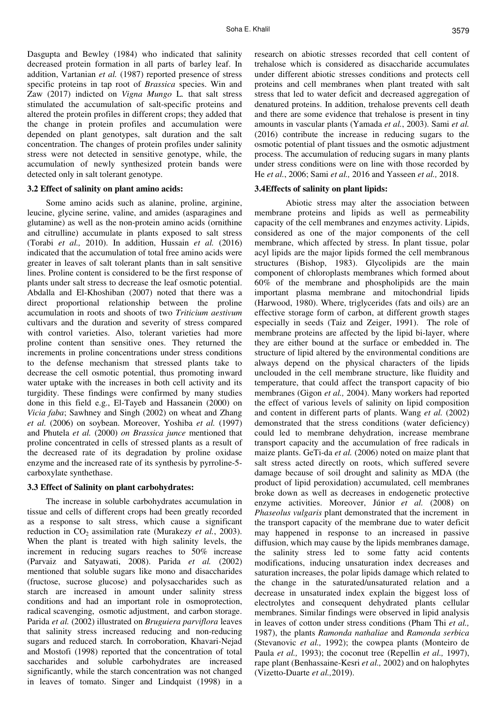Dasgupta and Bewley (1984) who indicated that salinity decreased protein formation in all parts of barley leaf. In addition, Vartanian *et al.* (1987) reported presence of stress specific proteins in tap root of *Brassica* species. Win and Zaw (2017) indicted on *Vigna Mungo* L*.* that salt stress stimulated the accumulation of salt-specific proteins and altered the protein profiles in different crops; they added that the change in protein profiles and accumulation were depended on plant genotypes, salt duration and the salt concentration. The changes of protein profiles under salinity stress were not detected in sensitive genotype, while, the accumulation of newly synthesized protein bands were detected only in salt tolerant genotype.

#### **3.2 Effect of salinity on plant amino acids:**

Some amino acids such as alanine, proline, arginine, leucine, glycine serine, valine, and amides (asparagines and glutamine) as well as the non-protein amino acids (ornithine and citrulline) accumulate in plants exposed to salt stress (Torabi *et al.,* 2010). In addition, Hussain *et al.* (2016) indicated that the accumulation of total free amino acids were greater in leaves of salt tolerant plants than in salt sensitive lines. Proline content is considered to be the first response of plants under salt stress to decrease the leaf osmotic potential. Abdalla and El-Khoshiban (2007) noted that there was a direct proportional relationship between the proline accumulation in roots and shoots of two *Triticium aestivum*  cultivars and the duration and severity of stress compared with control varieties. Also, tolerant varieties had more proline content than sensitive ones. They returned the increments in proline concentrations under stress conditions to the defense mechanism that stressed plants take to decrease the cell osmotic potential, thus promoting inward water uptake with the increases in both cell activity and its turgidity. These findings were confirmed by many studies done in this field e.g., El-Tayeb and Hassanein (2000) on *Vicia faba*; Sawhney and Singh (2002) on wheat and Zhang *et al.* (2006) on soybean. Moreover, Yoshiba *et al.* (1997) and Phutela *et al.* (2000) *on Brassica junce* mentioned that proline concentrated in cells of stressed plants as a result of the decreased rate of its degradation by proline oxidase enzyme and the increased rate of its synthesis by pyrroline-5 carboxylate synthethase.

## **3.3 Effect of Salinity on plant carbohydrates:**

The increase in soluble carbohydrates accumulation in tissue and cells of different crops had been greatly recorded as a response to salt stress, which cause a significant reduction in CO<sub>2</sub> assimilation rate (Murakezy *et al.*, 2003). When the plant is treated with high salinity levels, the increment in reducing sugars reaches to 50% increase (Parvaiz and Satyawati, 2008). Parida *et al.* (2002) mentioned that soluble sugars like mono and disaccharides (fructose, sucrose glucose) and polysaccharides such as starch are increased in amount under salinity stress conditions and had an important role in osmoprotection, radical scavenging, osmotic adjustment, and carbon storage. Parida *et al.* (2002) illustrated on *Bruguiera parviflora* leaves that salinity stress increased reducing and non-reducing sugars and reduced starch*.* In corroboration, Khavari-Nejad and Mostofi (1998) reported that the concentration of total saccharides and soluble carbohydrates are increased significantly, while the starch concentration was not changed in leaves of tomato. Singer and Lindquist (1998) in a research on abiotic stresses recorded that cell content of trehalose which is considered as disaccharide accumulates under different abiotic stresses conditions and protects cell proteins and cell membranes when plant treated with salt stress that led to water deficit and decreased aggregation of denatured proteins. In addition, trehalose prevents cell death and there are some evidence that trehalose is present in tiny amounts in vascular plants (Yamada *et al.*, 2003). Sami *et al.* (2016) contribute the increase in reducing sugars to the osmotic potential of plant tissues and the osmotic adjustment process. The accumulation of reducing sugars in many plants under stress conditions were on line with those recorded by He *et al.*, 2006; Sami *et al.,* 2016 and Yasseen *et al.,* 2018.

#### **3.4Effects of salinity on plant lipids:**

 Abiotic stress may alter the association between membrane proteins and lipids as well as permeability capacity of the cell membranes and enzymes activity. Lipids, considered as one of the major components of the cell membrane, which affected by stress. In plant tissue, polar acyl lipids are the major lipids formed the cell membranous structures (Bishop, 1983). Glycolipids are the main component of chloroplasts membranes which formed about 60% of the membrane and phospholipids are the main important plasma membrane and mitochondrial lipids (Harwood, 1980). Where, triglycerides (fats and oils) are an effective storage form of carbon, at different growth stages especially in seeds (Taiz and Zeiger, 1991). The role of membrane proteins are affected by the lipid bi-layer, where they are either bound at the surface or embedded in. The structure of lipid altered by the environmental conditions are always depend on the physical characters of the lipids unclouded in the cell membrane structure, like fluidity and temperature, that could affect the transport capacity of bio membranes (Gigon *et al.,* 2004). Many workers had reported the effect of various levels of salinity on lipid composition and content in different parts of plants. Wang *et al.* (2002) demonstrated that the stress conditions (water deficiency) could led to membrane dehydration, increase membrane transport capacity and the accumulation of free radicals in maize plants. GeTi-da *et al.* (2006) noted on maize plant that salt stress acted directly on roots, which suffered severe damage because of soil drought and salinity as MDA (the product of lipid peroxidation) accumulated, cell membranes broke down as well as decreases in endogenetic protective enzyme activities. Moreover, Júnior et al. (2008) on *Phaseolus vulgaris* plant demonstrated that the increment in the transport capacity of the membrane due to water deficit may happened in response to an increased in passive diffusion, which may cause by the lipids membranes damage, the salinity stress led to some fatty acid contents modifications, inducing unsaturation index decreases and saturation increases, the polar lipids damage which related to the change in the saturated/unsaturated relation and a decrease in unsaturated index explain the biggest loss of electrolytes and consequent dehydrated plants cellular membranes. Similar findings were observed in lipid analysis in leaves of cotton under stress conditions (Pham Thi *et al.,* 1987), the plants *Ramonda nathaliae* and *Ramonda serbica* (Stevanovic *et al.,* 1992); the cowpea plants (Monteiro de Paula *et al.,* 1993); the coconut tree (Repellin *et al.,* 1997), rape plant (Benhassaine-Kesri *et al.,* 2002) and on halophytes (Vizetto-Duarte *et al.,*2019).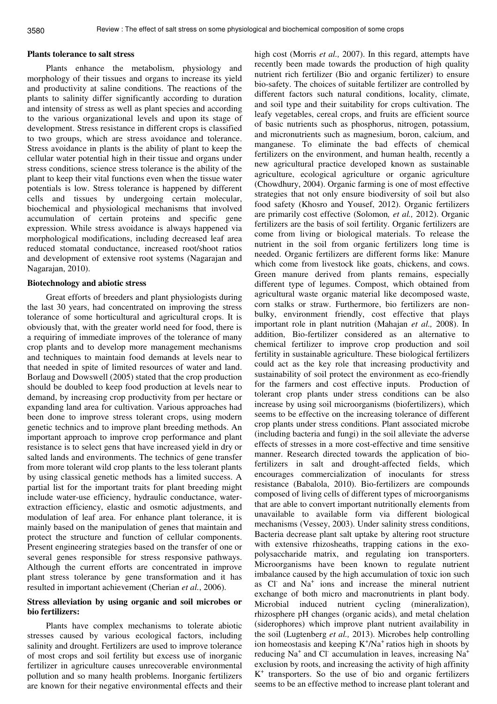#### **Plants tolerance to salt stress**

Plants enhance the metabolism, physiology and morphology of their tissues and organs to increase its yield and productivity at saline conditions. The reactions of the plants to salinity differ significantly according to duration and intensity of stress as well as plant species and according to the various organizational levels and upon its stage of development. Stress resistance in different crops is classified to two groups, which are stress avoidance and tolerance. Stress avoidance in plants is the ability of plant to keep the cellular water potential high in their tissue and organs under stress conditions, science stress tolerance is the ability of the plant to keep their vital functions even when the tissue water potentials is low. Stress tolerance is happened by different cells and tissues by undergoing certain molecular, biochemical and physiological mechanisms that involved accumulation of certain proteins and specific gene expression. While stress avoidance is always happened via morphological modifications, including decreased leaf area reduced stomatal conductance, increased root/shoot ratios and development of extensive root systems (Nagarajan and Nagarajan, 2010).

#### **Biotechnology and abiotic stress**

Great efforts of breeders and plant physiologists during the last 30 years, had concentrated on improving the stress tolerance of some horticultural and agricultural crops. It is obviously that, with the greater world need for food, there is a requiring of immediate improves of the tolerance of many crop plants and to develop more management mechanisms and techniques to maintain food demands at levels near to that needed in spite of limited resources of water and land. Borlaug and Dowswell (2005) stated that the crop production should be doubled to keep food production at levels near to demand, by increasing crop productivity from per hectare or expanding land area for cultivation. Various approaches had been done to improve stress tolerant crops, using modern genetic technics and to improve plant breeding methods. An important approach to improve crop performance and plant resistance is to select gens that have increased yield in dry or salted lands and environments. The technics of gene transfer from more tolerant wild crop plants to the less tolerant plants by using classical genetic methods has a limited success. A partial list for the important traits for plant breeding might include water-use efficiency, hydraulic conductance, waterextraction efficiency, elastic and osmotic adjustments, and modulation of leaf area. For enhance plant tolerance, it is mainly based on the manipulation of genes that maintain and protect the structure and function of cellular components. Present engineering strategies based on the transfer of one or several genes responsible for stress responsive pathways. Although the current efforts are concentrated in improve plant stress tolerance by gene transformation and it has resulted in important achievement (Cherian *et al.*, 2006).

# **Stress alleviation by using organic and soil microbes or bio fertilizers:**

Plants have complex mechanisms to tolerate abiotic stresses caused by various ecological factors, including salinity and drought. Fertilizers are used to improve tolerance of most crops and soil fertility but excess use of inorganic fertilizer in agriculture causes unrecoverable environmental pollution and so many health problems. Inorganic fertilizers are known for their negative environmental effects and their high cost (Morris *et al.,* 2007). In this regard, attempts have recently been made towards the production of high quality nutrient rich fertilizer (Bio and organic fertilizer) to ensure bio-safety. The choices of suitable fertilizer are controlled by different factors such natural conditions, locality, climate, and soil type and their suitability for crops cultivation. The leafy vegetables, cereal crops, and fruits are efficient source of basic nutrients such as phosphorus, nitrogen, potassium, and micronutrients such as magnesium, boron, calcium, and manganese. To eliminate the bad effects of chemical fertilizers on the environment, and human health, recently a new agricultural practice developed known as sustainable agriculture, ecological agriculture or organic agriculture (Chowdhury, 2004). Organic farming is one of most effective strategies that not only ensure biodiversity of soil but also food safety (Khosro and Yousef, 2012). Organic fertilizers are primarily cost effective (Solomon*, et al.,* 2012). Organic fertilizers are the basis of soil fertility. Organic fertilizers are come from living or biological materials. To release the nutrient in the soil from organic fertilizers long time is needed. Organic fertilizers are different forms like: Manure which come from livestock like goats, chickens, and cows. Green manure derived from plants remains, especially different type of legumes. Compost, which obtained from agricultural waste organic material like decomposed waste, corn stalks or straw. Furthermore, bio fertilizers are nonbulky, environment friendly, cost effective that plays important role in plant nutrition (Mahajan *et al.,* 2008). In addition, Bio-fertilizer considered as an alternative to chemical fertilizer to improve crop production and soil fertility in sustainable agriculture. These biological fertilizers could act as the key role that increasing productivity and sustainability of soil protect the environment as eco-friendly for the farmers and cost effective inputs. Production of tolerant crop plants under stress conditions can be also increase by using soil microorganisms (biofertilizers), which seems to be effective on the increasing tolerance of different crop plants under stress conditions. Plant associated microbe (including bacteria and fungi) in the soil alleviate the adverse effects of stresses in a more cost-effective and time sensitive manner. Research directed towards the application of biofertilizers in salt and drought-affected fields, which encourages commercialization of inoculants for stress resistance (Babalola, 2010). Bio-fertilizers are compounds composed of living cells of different types of microorganisms that are able to convert important nutritionally elements from unavailable to available form via different biological mechanisms (Vessey, 2003). Under salinity stress conditions, Bacteria decrease plant salt uptake by altering root structure with extensive rhizosheaths, trapping cations in the exopolysaccharide matrix, and regulating ion transporters. Microorganisms have been known to regulate nutrient imbalance caused by the high accumulation of toxic ion such as Cl<sup>-</sup> and Na<sup>+</sup> ions and increase the mineral nutrient exchange of both micro and macronutrients in plant body. Microbial induced nutrient cycling (mineralization), rhizosphere pH changes (organic acids), and metal chelation (siderophores) which improve plant nutrient availability in the soil (Lugtenberg *et al.,* 2013). Microbes help controlling ion homeostasis and keeping  $K^+/Na^+$  ratios high in shoots by reducing  $Na<sup>+</sup>$  and Cl<sup>-</sup> accumulation in leaves, increasing  $Na<sup>+</sup>$ exclusion by roots, and increasing the activity of high affinity K + transporters. So the use of bio and organic fertilizers seems to be an effective method to increase plant tolerant and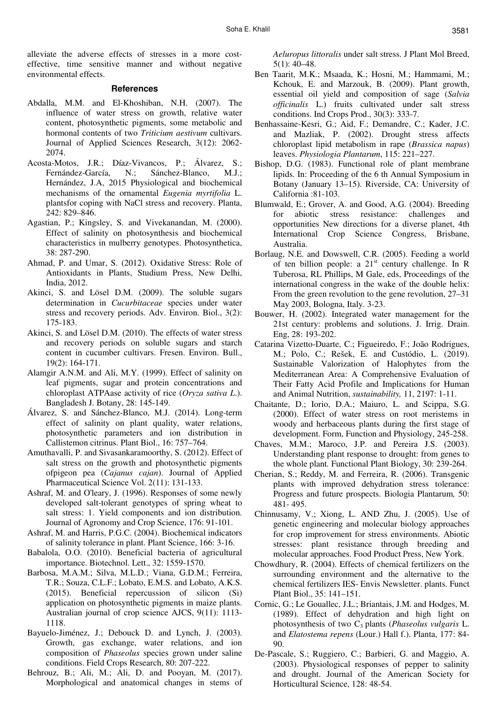alleviate the adverse effects of stresses in a more costeffective, time sensitive manner and without negative environmental effects.

#### **References**

- Abdalla, M.M. and El-Khoshiban, N.H. (2007). The influence of water stress on growth, relative water content, photosynthetic pigments, some metabolic and hormonal contents of two *Triticium aestivum* cultivars. Journal of Applied Sciences Research, 3(12): 2062- 2074.
- Acosta-Motos, J.R.; Díaz-Vivancos, P.; Álvarez, S.; Fernández-García, N.; Sánchez-Blanco, M.J.; Hernández, J.A, 2015 Physiological and biochemical mechanisms of the ornamental *Eugenia myrtifolia* L. plantsfor coping with NaCl stress and recovery. Planta, 242: 829–846.
- Agastian, P.; Kingsley, S. and Vivekanandan, M. (2000). Effect of salinity on photosynthesis and biochemical characteristics in mulberry genotypes. Photosynthetica, 38: 287-290.
- Ahmad, P. and Umar, S. (2012). Oxidative Stress: Role of Antioxidants in Plants, Studium Press, New Delhi, India, 2012.
- Akinci, S. and Lösel D.M. (2009). The soluble sugars determination in *Cucurbitaceae* species under water stress and recovery periods. Adv. Environ. Biol., 3(2): 175-183.
- Akinci, S. and Lösel D.M. (2010). The effects of water stress and recovery periods on soluble sugars and starch content in cucumber cultivars. Fresen. Environ. Bull., 19(2): 164-171.
- Alamgir A.N.M. and Ali, M.Y. (1999). Effect of salinity on leaf pigments, sugar and protein concentrations and chloroplast ATPAase activity of rice (*Oryza sativa L*.). Bangladesh J. Botany, 28: 145-149.
- Álvarez, S. and Sánchez-Blanco, M.J. (2014). Long-term effect of salinity on plant quality, water relations, photosynthetic parameters and ion distribution in Callistemon citrinus. Plant Biol., 16: 757–764.
- Amuthavalli, P. and Sivasankaramoorthy, S. (2012). Effect of salt stress on the growth and photosynthetic pigments ofpigeon pea (*Cajanus cajan*). Journal of Applied Pharmaceutical Science Vol. 2(11): 131-133.
- Ashraf, M. and O'leary, J. (1996). Responses of some newly developed salt-tolerant genotypes of spring wheat to salt stress: 1. Yield components and ion distribution. Journal of Agronomy and Crop Science, 176: 91-101.
- Ashraf, M. and Harris, P.G.C. (2004). Biochemical indicators of salinity tolerance in plant. Plant Science, 166: 3-16.
- Babalola, O.O. (2010). Beneficial bacteria of agricultural importance. Biotechnol. Lett., 32: 1559-1570.
- Barbosa, M.A.M.; Silva, M.L.D.; Viana, G.D.M.; Ferreira, T.R.; Souza, C.L.F.; Lobato, E.M.S. and Lobato, A.K.S. (2015). Beneficial repercussion of silicon (Si) application on photosynthetic pigments in maize plants. Australian journal of crop science AJCS, 9(11): 1113- 1118.
- Bayuelo-Jiménez, J.; Debouck D. and Lynch, J. (2003). Growth, gas exchange, water relations, and ion composition of *Phaseolus* species grown under saline conditions. Field Crops Research, 80: 207-222.
- Behrouz, B.; Ali, M.; Ali, D. and Pooyan, M. (2017). Morphological and anatomical changes in stems of

*Aeluropus littoralis* under salt stress. J Plant Mol Breed, 5(1): 40–48.

- Ben Taarit, M.K.; Msaada, K.; Hosni, M.; Hammami, M.; Kchouk, E. and Marzouk, B. (2009). Plant growth, essential oil yield and composition of sage (*Salvia officinalis* L.) fruits cultivated under salt stress conditions. Ind Crops Prod., 30(3): 333-7.
- Benhassaine-Kesri, G.; Aid, F.; Demandre, C.; Kader, J.C. and Mazliak, P. (2002). Drought stress affects chloroplast lipid metabolism in rape (*Brassica napus*) leaves. *Physiologia Plantarum*, 115: 221–227.
- Bishop, D.G. (1983). Functional role of plant membrane lipids. In: Proceeding of the 6 th Annual Symposium in Botany (January 13–15). Riverside, CA: University of California :81-103.
- Blumwald, E.; Grover, A. and Good, A.G. (2004). Breeding for abiotic stress resistance: challenges and opportunities New directions for a diverse planet, 4th International Crop Science Congress, Brisbane, Australia.
- Borlaug, N.E. and Dowswell, C.R. (2005). Feeding a world of ten billion people: a  $21<sup>st</sup>$  century challenge. In R Tuberosa, RL Phillips, M Gale, eds, Proceedings of the international congress in the wake of the double helix: From the green revolution to the gene revolution, 27–31 May 2003, Bologna, Italy. 3-23.
- Bouwer, H. (2002). Integrated water management for the 21st century: problems and solutions. J. Irrig. Drain. Eng, 28: 193-202.
- Catarina Vizetto-Duarte, C.; Figueiredo, F.; João Rodrigues, M.; Polo, C.; Rešek, E. and Custódio, L. (2019). Sustainable Valorization of Halophytes from the Mediterranean Area: A Comprehensive Evaluation of Their Fatty Acid Profile and Implications for Human and Animal Nutrition, *sustainability,* 11, 2197: 1-11.
- Chaitante, D.; Iorio, D.A.; Maiuro, L. and Scippa, S.G. (2000). Effect of water stress on root meristems in woody and herbaceous plants during the first stage of development. Form, Function and Physiology, 245-258.
- Chaves, M.M.; Maroco, J.P. and Pereira J.S. (2003). Understanding plant response to drought: from genes to the whole plant*.* Functional Plant Biology, 30: 239-264.
- Cherian, S.; Reddy, M. and Ferreira, R. (2006). Transgenic plants with improved dehydration stress tolerance: Progress and future prospects. Biologia Plantarum*,* 50: 481- 495.
- Chinnusamy, V.; Xiong, L. AND Zhu, J. (2005). Use of genetic engineering and molecular biology approaches for crop improvement for stress environments. Abiotic stresses: plant resistance through breeding and molecular approaches. Food Product Press, New York.
- Chowdhury, R. (2004). Effects of chemical fertilizers on the surrounding environment and the alternative to the chemical fertilizers IES- Envis Newsletter. plants. Funct Plant Biol., 35: 141–151.
- Cornic, G.; Le Gouallec, J.L.; Briantais, J.M. and Hodges, M. (1989). Effect of dehydration and high light on photosynthesis of two C3 plants (*Phaseolus vulgaris* L. and *Elatostema repens* (Lour.) Hall f.). Planta, 177: 84- 90.
- De-Pascale, S.; Ruggiero, C.; Barbieri, G. and Maggio, A. (2003). Physiological responses of pepper to salinity and drought. Journal of the American Society for Horticultural Science, 128: 48-54.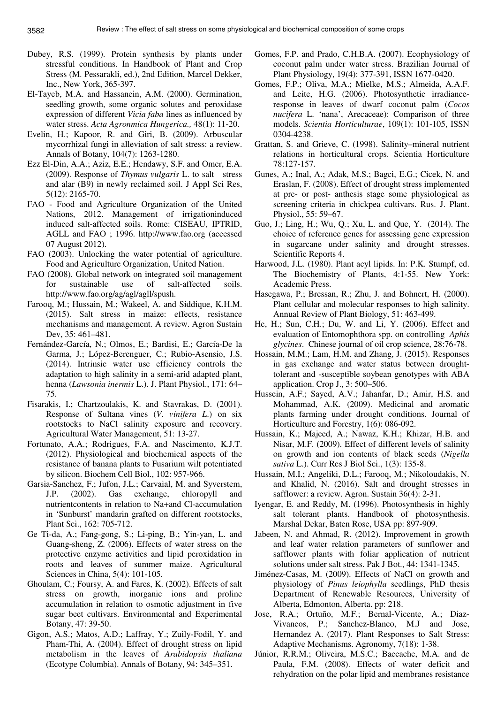- Dubey, R.S. (1999). Protein synthesis by plants under stressful conditions. In Handbook of Plant and Crop Stress (M. Pessarakli, ed.), 2nd Edition, Marcel Dekker, Inc., New York, 365-397.
- El-Tayeb, M.A. and Hassanein, A.M. (2000). Germination, seedling growth, some organic solutes and peroxidase expression of different *Vicia faba* lines as influenced by water stress. *Acta Agronmica Hungerica.,* 48(1): 11-20.
- Evelin, H.; Kapoor, R. and Giri, B. (2009). Arbuscular mycorrhizal fungi in alleviation of salt stress: a review. Annals of Botany, 104(7): 1263-1280.
- Ezz El-Din, A.A.; Aziz, E.E.; Hendawy, S.F. and Omer, E.A. (2009). Response of *Thymus vulgaris* L. to salt stress and alar (B9) in newly reclaimed soil. J Appl Sci Res, 5(12): 2165-70.
- FAO Food and Agriculture Organization of the United Nations, 2012. Management of irrigationinduced induced salt-affected soils. Rome: CISEAU, IPTRID, AGLL and FAO ; 1996. http://www.fao.org (accessed 07 August 2012).
- FAO (2003). Unlocking the water potential of agriculture. Food and Agriculture Organization, United Nation.
- FAO (2008). Global network on integrated soil management for sustainable use of salt-affected soils. http://www.fao.org/ag/agl/agll/spush.
- Farooq, M.; Hussain, M.; Wakeel, A. and Siddique, K.H.M. (2015). Salt stress in maize: effects, resistance mechanisms and management. A review. Agron Sustain Dev, 35: 461–481.
- Fernández-García, N.; Olmos, E.; Bardisi, E.; García-De la Garma, J.; López-Berenguer, C.; Rubio-Asensio, J.S. (2014). Intrinsic water use efficiency controls the adaptation to high salinity in a semi-arid adapted plant, henna (*Lawsonia inermis* L.). J. Plant Physiol., 171: 64– 75.
- Fisarakis, I.; Chartzoulakis, K. and Stavrakas, D. (2001). Response of Sultana vines (*V. vinifera L*.) on six rootstocks to NaCl salinity exposure and recovery. Agricultural Water Management, 51: 13-27.
- Fortunato, A.A.; Rodrigues, F.A. and Nascimento, K.J.T. (2012). Physiological and biochemical aspects of the resistance of banana plants to Fusarium wilt potentiated by silicon. Biochem Cell Biol., 102: 957-966.
- Garsia-Sanchez, F.; Jufon, J.L.; Carvaial, M. and Syverstem, J.P. (2002). Gas exchange, chloropyll and nutrientcontents in relation to Na+and Cl-accumulation in 'Sunburst' mandarin grafted on different rootstocks, Plant Sci., 162: 705-712.
- Ge Ti-da, A.; Fang-gong, S.; Li-ping, B.; Yin-yan, L. and Guang-sheng, Z. (2006). Effects of water stress on the protective enzyme activities and lipid peroxidation in roots and leaves of summer maize. Agricultural Sciences in China, 5(4): 101-105.
- Ghoulam, C.; Foursy, A. and Fares, K. (2002). Effects of salt stress on growth, inorganic ions and proline accumulation in relation to osmotic adjustment in five sugar beet cultivars. Environmental and Experimental Botany, 47: 39-50.
- Gigon, A.S.; Matos, A.D.; Laffray, Y.; Zuily-Fodil, Y. and Pham-Thi, A. (2004). Effect of drought stress on lipid metabolism in the leaves of *Arabidopsis thaliana* (Ecotype Columbia). Annals of Botany, 94: 345–351.
- Gomes, F.P. and Prado, C.H.B.A. (2007). Ecophysiology of coconut palm under water stress. Brazilian Journal of Plant Physiology, 19(4): 377-391, ISSN 1677-0420.
- Gomes, F.P.; Oliva, M.A.; Mielke, M.S.; Almeida, A.A.F. and Leite, H.G. (2006). Photosynthetic irradianceresponse in leaves of dwarf coconut palm (*Cocos nucifera* L. 'nana', Arecaceae): Comparison of three models. *Scientia Horticulturae*, 109(1): 101-105, ISSN 0304-4238.
- Grattan, S. and Grieve, C. (1998). Salinity–mineral nutrient relations in horticultural crops. Scientia Horticulture 78:127-157.
- Gunes, A.; Inal, A.; Adak, M.S.; Bagci, E.G.; Cicek, N. and Eraslan, F. (2008). Effect of drought stress implemented at pre- or post- anthesis stage some physiological as screening criteria in chickpea cultivars. Rus. J. Plant. Physiol., 55: 59–67.
- Guo, J.; Ling, H.; Wu, Q.; Xu, L. and Que, Y. (2014). The choice of reference genes for assessing gene expression in sugarcane under salinity and drought stresses. Scientific Reports 4.
- Harwood, J.L. (1980). Plant acyl lipids. In: P.K. Stumpf, ed. The Biochemistry of Plants, 4:1-55. New York: Academic Press.
- Hasegawa, P.; Bressan, R.; Zhu, J. and Bohnert, H. (2000). Plant cellular and molecular responses to high salinity. Annual Review of Plant Biology, 51: 463-499.
- He, H.; Sun, C.H.; Du, W. and Li, Y. (2006). Effect and evaluation of Entomophthora spp. on controlling *Aphis glycines*. Chinese journal of oil crop science, 28:76-78.
- Hossain, M.M.; Lam, H.M. and Zhang, J. (2015). Responses in gas exchange and water status between droughttolerant and -susceptible soybean genotypes with ABA application. Crop J., 3: 500–506.
- Hussein, A.F.; Sayed, A.V.; Jahanfar, D.; Amir, H.S. and Mohammad, A.K. (2009). Medicinal and aromatic plants farming under drought conditions. Journal of Horticulture and Forestry, 1(6): 086-092.
- Hussain, K.; Majeed, A.; Nawaz, K.H.; Khizar, H.B. and Nisar, M.F. (2009). Effect of different levels of salinity on growth and ion contents of black seeds (*Nigella sativa* L.). Curr Res J Biol Sci., 1(3): 135-8.
- Hussain, M.I.; Angeliki, D.L.; Farooq, M.; Nikoloudakis, N. and Khalid, N. (2016). Salt and drought stresses in safflower: a review. Agron. Sustain 36(4): 2-31.
- Iyengar, E. and Reddy, M. (1996). Photosynthesis in highly salt tolerant plants. Handbook of photosynthesis. Marshal Dekar, Baten Rose, USA pp: 897-909.
- Jabeen, N. and Ahmad, R. (2012). Improvement in growth and leaf water relation parameters of sunflower and safflower plants with foliar application of nutrient solutions under salt stress. Pak J Bot., 44: 1341-1345.
- Jiménez-Casas, M. (2009). Effects of NaCl on growth and physiology of *Pinus leiophylla* seedlings, PhD thesis Department of Renewable Resources, University of Alberta, Edmonton, Alberta. pp: 218.
- Jose, R.A.; Ortuño, M.F.; Bernal-Vicente, A.; Diaz-Vivancos, P.; Sanchez-Blanco, M.J and Jose, Hernandez A. (2017). Plant Responses to Salt Stress: Adaptive Mechanisms. Agronomy, 7(18): 1-38.
- Júnior, R.R.M.; Oliveira, M.S.C.; Baccache, M.A. and de Paula, F.M. (2008). Effects of water deficit and rehydration on the polar lipid and membranes resistance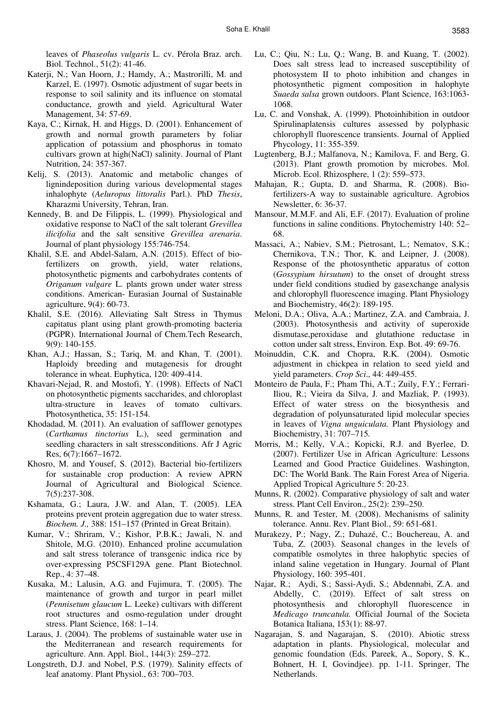leaves of *Phaseolus vulgaris* L. cv. Pérola Braz. arch. Biol. Technol., 51(2): 41-46.

- Katerji, N.; Van Hoorn, J.; Hamdy, A.; Mastrorilli, M. and Karzel, E. (1997). Osmotic adjustment of sugar beets in response to soil salinity and its influence on stomatal conductance, growth and yield. Agricultural Water Management, 34: 57-69.
- Kaya, C.; Kirnak, H. and Higgs, D. (2001). Enhancement of growth and normal growth parameters by foliar application of potassium and phosphorus in tomato cultivars grown at high(NaCl) salinity. Journal of Plant Nutrition, 24: 357-367.
- Kelij, S. (2013). Anatomic and metabolic changes of lignindeposition during various developmental stages inhalophyte (*Aeluropus littoralis* Parl.). PhD *Thesis*, Kharazmi University, Tehran, Iran.
- Kennedy, B. and De Filippis, L. (1999). Physiological and oxidative response to NaCl of the salt tolerant *Grevillea ilicifolia* and the salt sensitive *Grevillea arenaria*. Journal of plant physiology 155:746-754.
- Khalil, S.E. and Abdel-Salam, A.N. (2015). Effect of biofertilizers on growth, yield, water relations, photosynthetic pigments and carbohydrates contents of *Origanum vulgare* L. plants grown under water stress conditions. American- Eurasian Journal of Sustainable agriculture, 9(4): 60-73.
- Khalil, S.E. (2016). Alleviating Salt Stress in Thymus capitatus plant using plant growth-promoting bacteria (PGPR). International Journal of Chem.Tech Research, 9(9): 140-155.
- Khan, A.J.; Hassan, S.; Tariq, M. and Khan, T. (2001). Haploidy breeding and mutagenesis for drought tolerance in wheat. Euphytica, 120: 409-414.
- Khavari-Nejad, R. and Mostofi, Y. (1998). Effects of NaCl on photosynthetic pigments saccharides, and chloroplast ultra-structure in leaves of tomato cultivars. Photosynthetica, 35: 151-154.
- Khodadad, M. (2011). An evaluation of safflower genotypes (*Carthamus tinctorius* L.), seed germination and seedling characters in salt stressconditions. Afr J Agric Res, 6(7):1667–1672.
- Khosro, M. and Yousef, S. (2012). Bacterial bio-fertilizers for sustainable crop production: A review APRN Journal of Agricultural and Biological Science. 7(5):237-308.
- Kshamata, G.; Laura, J.W. and Alan, T. (2005). LEA proteins prevent protein aggregation due to water stress. *Biochem. J.,* 388: 151–157 (Printed in Great Britain).
- Kumar, V.; Shriram, V.; Kishor, P.B.K.; Jawali, N. and Shitole, M.G. (2010). Enhanced proline accumulation and salt stress tolerance of transgenic indica rice by over-expressing P5CSF129A gene. Plant Biotechnol. Rep., 4: 37–48.
- Kusaka, M.; Lalusin, A.G. and Fujimura, T. (2005). The maintenance of growth and turgor in pearl millet (*Pennisetum glaucum* L. Leeke) cultivars with different root structures and osmo-regulation under drought stress. Plant Science, 168: 1–14.
- Laraus, J. (2004). The problems of sustainable water use in the Mediterranean and research requirements for agriculture. Ann. Appl. Biol., 144(3): 259–272.
- Longstreth, D.J. and Nobel, P.S. (1979). Salinity effects of leaf anatomy. Plant Physiol., 63: 700–703.
- Lu, C.; Qiu, N.; Lu, Q.; Wang, B. and Kuang, T. (2002). Does salt stress lead to increased susceptibility of photosystem II to photo inhibition and changes in photosynthetic pigment composition in halophyte *Suaeda salsa* grown outdoors. Plant Science, 163:1063- 1068.
- Lu, C. and Vonshak, A. (1999). Photoinhibition in outdoor Spirulinaplatensis cultures assessed by polyphasic chlorophyll fluorescence transients. Journal of Applied Phycology, 11: 355-359.
- Lugtenberg, B.J.; Malfanova, N.; Kamilova, F. and Berg, G. (2013). Plant growth promotion by microbes. Mol. Microb. Ecol. Rhizosphere, 1 (2): 559–573.
- Mahajan, R.; Gupta, D. and Sharma, R. (2008). Biofertilizers-A way to sustainable agriculture. Agrobios Newsletter, 6: 36-37.
- Mansour, M.M.F. and Ali, E.F. (2017). Evaluation of proline functions in saline conditions. Phytochemistry 140: 52– 68.
- Massaci, A.; Nabiev, S.M.; Pietrosant, L.; Nematov, S.K.; Chernikova, T.N.; Thor, K. and Leipner, J. (2008). Response of the photosynthetic apparatus of cotton (*Gossypium hirsutum*) to the onset of drought stress under field conditions studied by gasexchange analysis and chlorophyll fluorescence imaging. Plant Physiology and Biochemistry, 46(2): 189-195.
- Meloni, D.A.; Oliva, A.A.; Martinez, Z.A. and Cambraia, J. (2003). Photosynthesis and activity of superoxide dismutase,peroxidase and glutathione reductase in cotton under salt stress, Environ. Exp. Bot. 49: 69-76.
- Moinuddin, C.K. and Chopra, R.K. (2004). Osmotic adjustment in chickpea in relation to seed yield and yield parameters. *Crop Sci*., 44: 449-455.
- Monteiro de Paula, F.; Pham Thi, A.T.; Zuily, F.Y.; Ferrari-Iliou, R.; Vieira da Silva, J. and Mazliak, P. (1993). Effect of water stress on the biosynthesis and degradation of polyunsaturated lipid molecular species in leaves of *Vigna unguiculata.* Plant Physiology and Biochemistry, 31: 707–715*.*
- Morris, M.; Kelly, V.A.; Kopicki, R.J. and Byerlee, D. (2007). Fertilizer Use in African Agriculture: Lessons Learned and Good Practice Guidelines. Washington, DC: The World Bank. The Rain Forest Area of Nigeria. Applied Tropical Agriculture 5: 20-23.
- Munns, R. (2002). Comparative physiology of salt and water stress. Plant Cell Environ., 25(2): 239–250.
- Munns, R. and Tester, M. (2008). Mechanisms of salinity tolerance. Annu. Rev. Plant Biol., 59: 651-681.
- Murakezy, P.; Nagy, Z.; Duhazé, C.; Bouchereau, A. and Tuba, Z. (2003). Seasonal changes in the levels of compatible osmolytes in three halophytic species of inland saline vegetation in Hungary. Journal of Plant Physiology, 160: 395-401.
- Najar, R.; Aydi, S.; Sassi-Aydi, S.; Abdennabi, Z.A. and Abdelly, C. (2019). Effect of salt stress on photosynthesis and chlorophyll fluorescence in *Medicago truncatula.* Official Journal of the Societa Botanica Italiana, 153(1): 88-97.
- Nagarajan, S. and Nagarajan, S. (2010). Abiotic stress adaptation in plants. Physiological, molecular and genomic foundation (Eds. Pareek, A., Sopory, S. K., Bohnert, H. I, Govindjee). pp. 1-11. Springer, The Netherlands.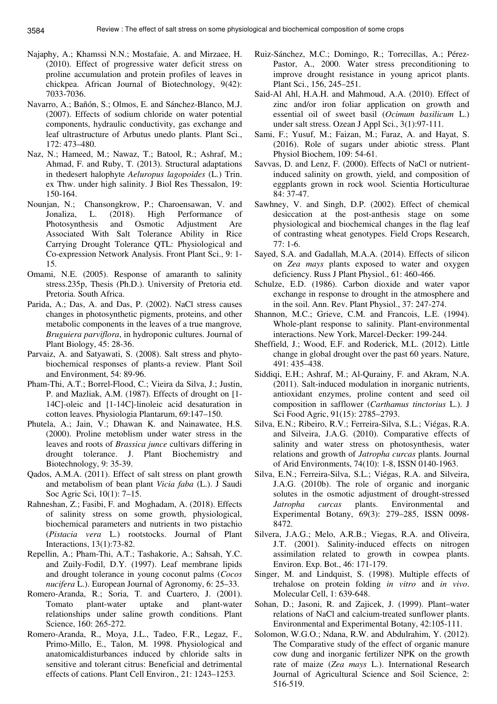- Najaphy, A.; Khamssi N.N.; Mostafaie, A. and Mirzaee, H. (2010). Effect of progressive water deficit stress on proline accumulation and protein profiles of leaves in chickpea. African Journal of Biotechnology, 9(42): 7033-7036.
- Navarro, A.; Bañón, S.; Olmos, E. and Sánchez-Blanco, M.J. (2007). Effects of sodium chloride on water potential components, hydraulic conductivity, gas exchange and leaf ultrastructure of Arbutus unedo plants. Plant Sci., 172: 473–480.
- Naz, N.; Hameed, M.; Nawaz, T.; Batool, R.; Ashraf, M.; Ahmad, F. and Ruby, T. (2013). Structural adaptations in thedesert halophyte *Aeluropus lagopoides* (L.) Trin. ex Thw. under high salinity. J Biol Res Thessalon, 19: 150-164.
- Nounjan, N.; Chansongkrow, P.; Charoensawan, V. and Jonaliza, L. (2018). High Performance of Photosynthesis and Osmotic Adjustment Are Associated With Salt Tolerance Ability in Rice Carrying Drought Tolerance QTL: Physiological and Co-expression Network Analysis. Front Plant Sci., 9: 1- 15.
- Omami, N.E. (2005). Response of amaranth to salinity stress.235p, Thesis (Ph.D.). University of Pretoria etd. Pretoria. South Africa.
- Parida, A.; Das, A. and Das, P. (2002). NaCl stress causes changes in photosynthetic pigments, proteins, and other metabolic components in the leaves of a true mangrove*, Bruguiera parviflora*, in hydroponic cultures. Journal of Plant Biology, 45: 28-36.
- Parvaiz, A. and Satyawati, S. (2008). Salt stress and phytobiochemical responses of plants-a review. Plant Soil and Environment, 54: 89-96.
- Pham-Thi, A.T.; Borrel-Flood, C.; Vieira da Silva, J.; Justin, P. and Mazliak, A.M. (1987). Effects of drought on [1- 14C]-oleic and [1-14C]-linoleic acid desaturation in cotton leaves. Physiologia Plantarum, 69:147–150.
- Phutela, A.; Jain, V.; Dhawan K. and Nainawatee, H.S. (2000). Proline metoblism under water stress in the leaves and roots of *Brassica junce* cultivars differing in drought tolerance. J. Plant Biochemistry and Biotechnology, 9: 35-39.
- Qados, A.M.A. (2011). Effect of salt stress on plant growth and metabolism of bean plant *Vicia faba* (L.). J Saudi Soc Agric Sci, 10(1): 7–15.
- Rahneshan, Z.; Fasibi, F. and Moghadam, A. (2018). Effects of salinity stress on some growth, physiological, biochemical parameters and nutrients in two pistachio (*Pistacia vera* L.) rootstocks. Journal of Plant Interactions, 13(1):73-82.
- Repellin, A.; Pham-Thi, A.T.; Tashakorie, A.; Sahsah, Y.C. and Zuily-Fodil, D.Y. (1997). Leaf membrane lipids and drought tolerance in young coconut palms (*Cocos nucifera* L.). European Journal of Agronomy, 6: 25–33.
- Romero-Aranda, R.; Soria, T. and Cuartero, J. (2001). Tomato plant-water uptake and plant-water relationships under saline growth conditions. Plant Science, 160: 265-272.
- Romero-Aranda, R., Moya, J.L., Tadeo, F.R., Legaz, F., Primo-Millo, E., Talon, M. 1998. Physiological and anatomicaldisturbances induced by chloride salts in sensitive and tolerant citrus: Beneficial and detrimental effects of cations. Plant Cell Environ., 21: 1243–1253.
- Ruiz-Sánchez, M.C.; Domingo, R.; Torrecillas, A.; Pérez-Pastor, A., 2000. Water stress preconditioning to improve drought resistance in young apricot plants. Plant Sci., 156, 245–251.
- Said-Al Ahl, H.A.H. and Mahmoud, A.A. (2010). Effect of zinc and/or iron foliar application on growth and essential oil of sweet basil (*Ocimum basilicum* L.) under salt stress. Ozean J Appl Sci., 3(1):97-111.
- Sami, F.; Yusuf, M.; Faizan, M.; Faraz, A. and Hayat, S. (2016). Role of sugars under abiotic stress. Plant Physiol Biochem, 109: 54-61.
- Savvas, D. and Lenz, F. (2000). Effects of NaCl or nutrientinduced salinity on growth, yield, and composition of eggplants grown in rock wool. Scientia Horticulturae 84: 37-47.
- Sawhney, V. and Singh, D.P. (2002). Effect of chemical desiccation at the post-anthesis stage on some physiological and biochemical changes in the flag leaf of contrasting wheat genotypes. Field Crops Research, 77: 1-6.
- Sayed, S.A. and Gadallah, M.A.A. (2014). Effects of silicon on *Zea mays* plants exposed to water and oxygen deficiency. Russ J Plant Physiol., 61: 460-466.
- Schulze, E.D. (1986). Carbon dioxide and water vapor exchange in response to drought in the atmosphere and in the soil. Ann. Rev. Plant Physiol., 37: 247-274.
- Shannon, M.C.; Grieve, C.M. and Francois, L.E. (1994). Whole-plant response to salinity. Plant-environmental interactions. New York, Marcel-Decker: 199-244.
- Sheffield, J.; Wood, E.F. and Roderick, M.L. (2012). Little change in global drought over the past 60 years. Nature, 491: 435–438.
- Siddiqi, E.H.; Ashraf, M.; Al-Qurainy, F. and Akram, N.A. (2011). Salt-induced modulation in inorganic nutrients, antioxidant enzymes, proline content and seed oil composition in safflower (*Carthamus tinctorius* L.). J Sci Food Agric, 91(15): 2785–2793.
- Silva, E.N.; Ribeiro, R.V.; Ferreira-Silva, S.L.; Viégas, R.A. and Silveira, J.A.G. (2010). Comparative effects of salinity and water stress on photosynthesis, water relations and growth of *Jatropha curcas* plants. Journal of Arid Environments, 74(10): 1-8, ISSN 0140-1963.
- Silva, E.N.; Ferreira-Silva, S.L.; Viégas, R.A. and Silveira, J.A.G. (2010b). The role of organic and inorganic solutes in the osmotic adjustment of drought-stressed *Jatropha curcas* plants. Environmental and Experimental Botany, 69(3): 279–285, ISSN 0098- 8472.
- Silvera, J.A.G.; Melo, A.R.B.; Viegas, R.A. and Oliveira, J.T. (2001). Salinity-induced effects on nitrogen assimilation related to growth in cowpea plants. Environ. Exp. Bot., 46: 171-179.
- Singer, M. and Lindquist, S. (1998). Multiple effects of trehalose on protein folding *in vitro* and *in vivo*. Molecular Cell, 1: 639-648.
- Sohan, D.; Jasoni, R. and Zajicek, J. (1999). Plant–water relations of NaCl and calcium-treated sunflower plants. Environmental and Experimental Botany, 42:105-111.
- Solomon, W.G.O.; Ndana, R.W. and Abdulrahim, Y. (2012). The Comparative study of the effect of organic manure cow dung and inorganic fertilizer NPK on the growth rate of maize (*Zea mays* L.). International Research Journal of Agricultural Science and Soil Science, 2: 516-519.